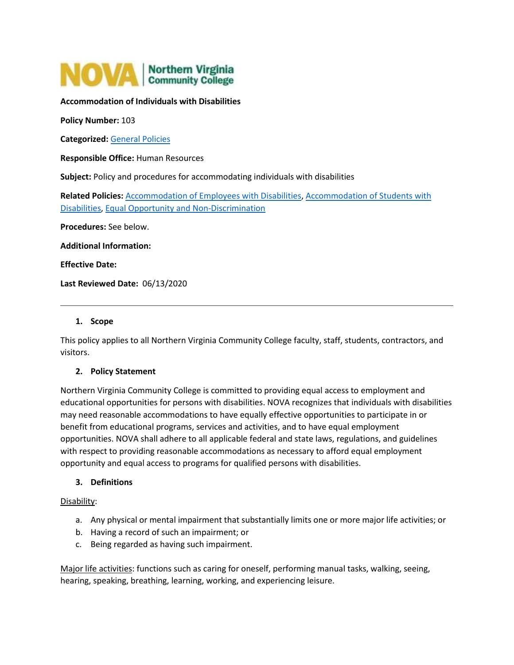

# **Accommodation of Individuals with Disabilities**

**Policy Number:** 103

**Categorized:** [General Policies](https://www.nvcc.edu/policies/Default.aspx?cat=General%20Policies)

**Responsible Office:** Human Resources

**Subject:** Policy and procedures for accommodating individuals with disabilities

**Related Policies:** [Accommodation of Employees with Disabilities,](https://www.nvcc.edu/policies/policies.aspx?num=401) [Accommodation of Students with](https://www.nvcc.edu/policies/policies.aspx?num=607)  [Disabilities,](https://www.nvcc.edu/policies/policies.aspx?num=607) [Equal Opportunity and Non-Discrimination](https://www.nvcc.edu/policies/policies.aspx?num=102)

**Procedures:** See below.

**Additional Information:**

**Effective Date:**

**Last Reviewed Date:** 06/13/2020

### **1. Scope**

This policy applies to all Northern Virginia Community College faculty, staff, students, contractors, and visitors.

### **2. Policy Statement**

Northern Virginia Community College is committed to providing equal access to employment and educational opportunities for persons with disabilities. NOVA recognizes that individuals with disabilities may need reasonable accommodations to have equally effective opportunities to participate in or benefit from educational programs, services and activities, and to have equal employment opportunities. NOVA shall adhere to all applicable federal and state laws, regulations, and guidelines with respect to providing reasonable accommodations as necessary to afford equal employment opportunity and equal access to programs for qualified persons with disabilities.

### **3. Definitions**

Disability:

- a. Any physical or mental impairment that substantially limits one or more major life activities; or
- b. Having a record of such an impairment; or
- c. Being regarded as having such impairment.

Major life activities: functions such as caring for oneself, performing manual tasks, walking, seeing, hearing, speaking, breathing, learning, working, and experiencing leisure.